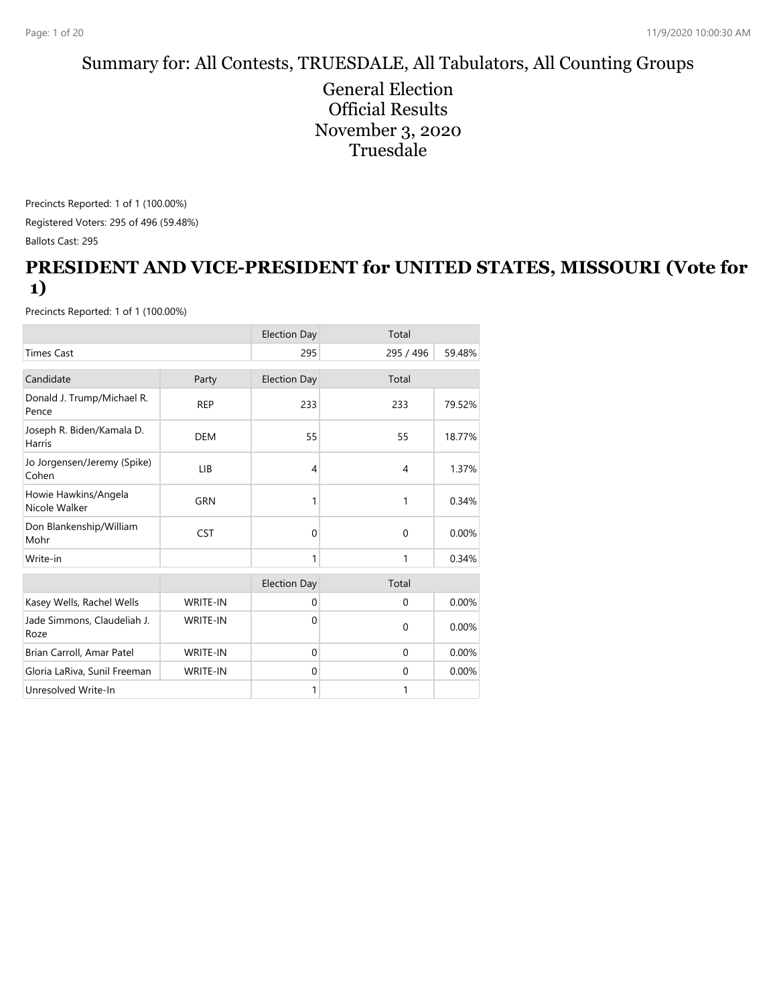# Summary for: All Contests, TRUESDALE, All Tabulators, All Counting Groups

General Election Official Results November 3, 2020 **Truesdale** 

Precincts Reported: 1 of 1 (100.00%) Registered Voters: 295 of 496 (59.48%) Ballots Cast: 295

#### **PRESIDENT AND VICE-PRESIDENT for UNITED STATES, MISSOURI (Vote for 1)**

|                                       |                 | <b>Election Day</b> | Total        |        |
|---------------------------------------|-----------------|---------------------|--------------|--------|
| <b>Times Cast</b>                     |                 | 295                 | 295 / 496    | 59.48% |
| Candidate                             | Party           | <b>Election Day</b> | Total        |        |
| Donald J. Trump/Michael R.<br>Pence   | <b>REP</b>      | 233                 | 233          | 79.52% |
| Joseph R. Biden/Kamala D.<br>Harris   | <b>DEM</b>      | 55                  | 55           | 18.77% |
| Jo Jorgensen/Jeremy (Spike)<br>Cohen  | LIB             | 4                   | 4            | 1.37%  |
| Howie Hawkins/Angela<br>Nicole Walker | GRN             | 1                   | 1            | 0.34%  |
| Don Blankenship/William<br>Mohr       | <b>CST</b>      | $\Omega$            | $\mathbf 0$  | 0.00%  |
| Write-in                              |                 | 1                   | 1            | 0.34%  |
|                                       |                 | <b>Election Day</b> | Total        |        |
| Kasey Wells, Rachel Wells             | <b>WRITE-IN</b> | $\mathbf 0$         | $\mathbf 0$  | 0.00%  |
| Jade Simmons, Claudeliah J.<br>Roze   | <b>WRITE-IN</b> | $\Omega$            | $\Omega$     | 0.00%  |
| Brian Carroll, Amar Patel             | <b>WRITE-IN</b> | $\Omega$            | $\Omega$     | 0.00%  |
| Gloria LaRiva, Sunil Freeman          | <b>WRITE-IN</b> | $\mathbf{0}$        | $\mathbf{0}$ | 0.00%  |
| Unresolved Write-In                   |                 | 1                   | 1            |        |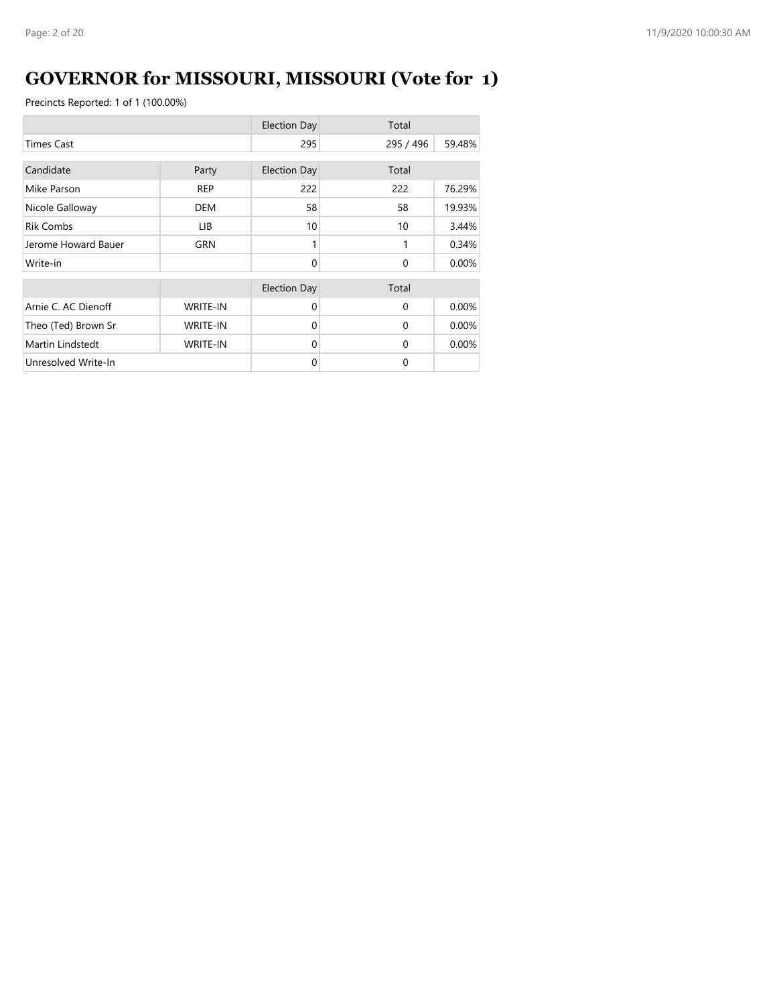# **GOVERNOR for MISSOURI, MISSOURI (Vote for 1)**

|                     |                 | <b>Election Day</b> | Total     |        |
|---------------------|-----------------|---------------------|-----------|--------|
| <b>Times Cast</b>   |                 | 295                 | 295 / 496 | 59.48% |
| Candidate           | Party           | <b>Election Day</b> | Total     |        |
| Mike Parson         | <b>REP</b>      | 222                 | 222       | 76.29% |
| Nicole Galloway     | <b>DEM</b>      | 58                  | 58        | 19.93% |
| <b>Rik Combs</b>    | LIB.            | 10                  | 10        | 3.44%  |
| Jerome Howard Bauer | <b>GRN</b>      |                     | 1         | 0.34%  |
| Write-in            |                 | $\Omega$            | $\Omega$  | 0.00%  |
|                     |                 | <b>Election Day</b> | Total     |        |
| Arnie C. AC Dienoff | <b>WRITE-IN</b> | $\Omega$            | $\Omega$  | 0.00%  |
| Theo (Ted) Brown Sr | <b>WRITE-IN</b> | $\Omega$            | $\Omega$  | 0.00%  |
| Martin Lindstedt    | <b>WRITE-IN</b> | $\Omega$            | $\Omega$  | 0.00%  |
| Unresolved Write-In |                 | $\Omega$            | $\Omega$  |        |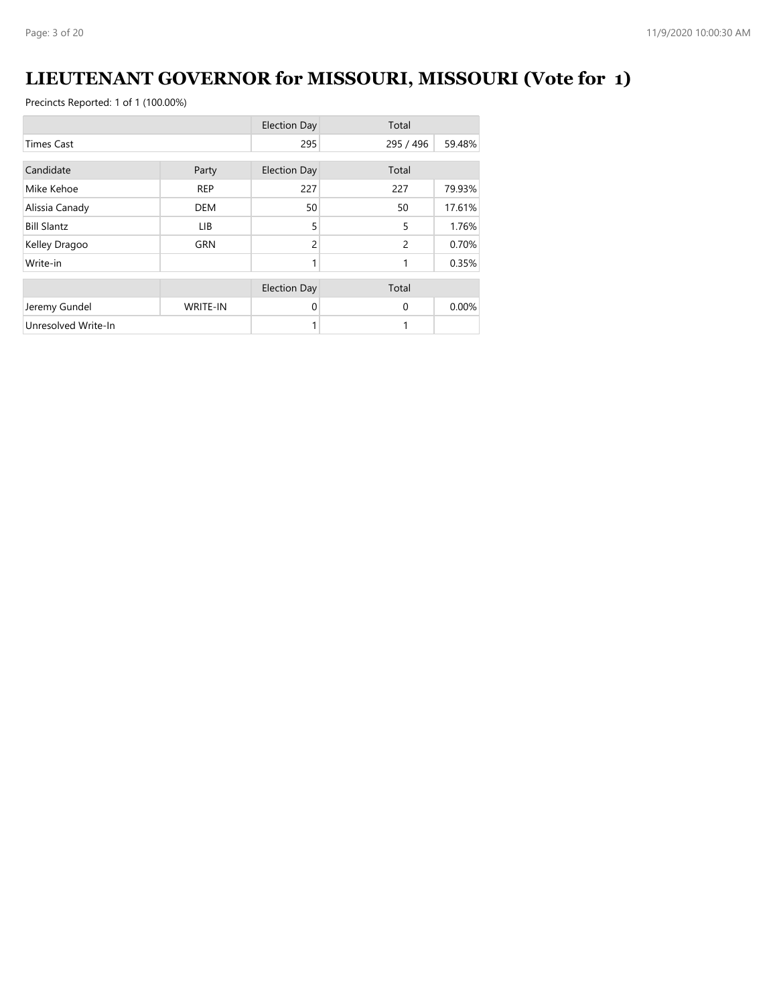# **LIEUTENANT GOVERNOR for MISSOURI, MISSOURI (Vote for 1)**

|                     |                 | <b>Election Day</b> | Total          |        |
|---------------------|-----------------|---------------------|----------------|--------|
| <b>Times Cast</b>   |                 | 295                 | 295 / 496      | 59.48% |
| Candidate           |                 |                     | Total          |        |
|                     | Party           | <b>Election Day</b> |                |        |
| Mike Kehoe          | <b>REP</b>      | 227                 | 227            | 79.93% |
| Alissia Canady      | <b>DEM</b>      | 50                  | 50             | 17.61% |
| <b>Bill Slantz</b>  | LIB.            | 5                   | 5              | 1.76%  |
| Kelley Dragoo       | <b>GRN</b>      | $\overline{c}$      | $\overline{2}$ | 0.70%  |
| Write-in            |                 | 1                   | 1              | 0.35%  |
|                     |                 | <b>Election Day</b> | Total          |        |
|                     |                 |                     |                |        |
| Jeremy Gundel       | <b>WRITE-IN</b> | 0                   | $\Omega$       | 0.00%  |
| Unresolved Write-In |                 |                     |                |        |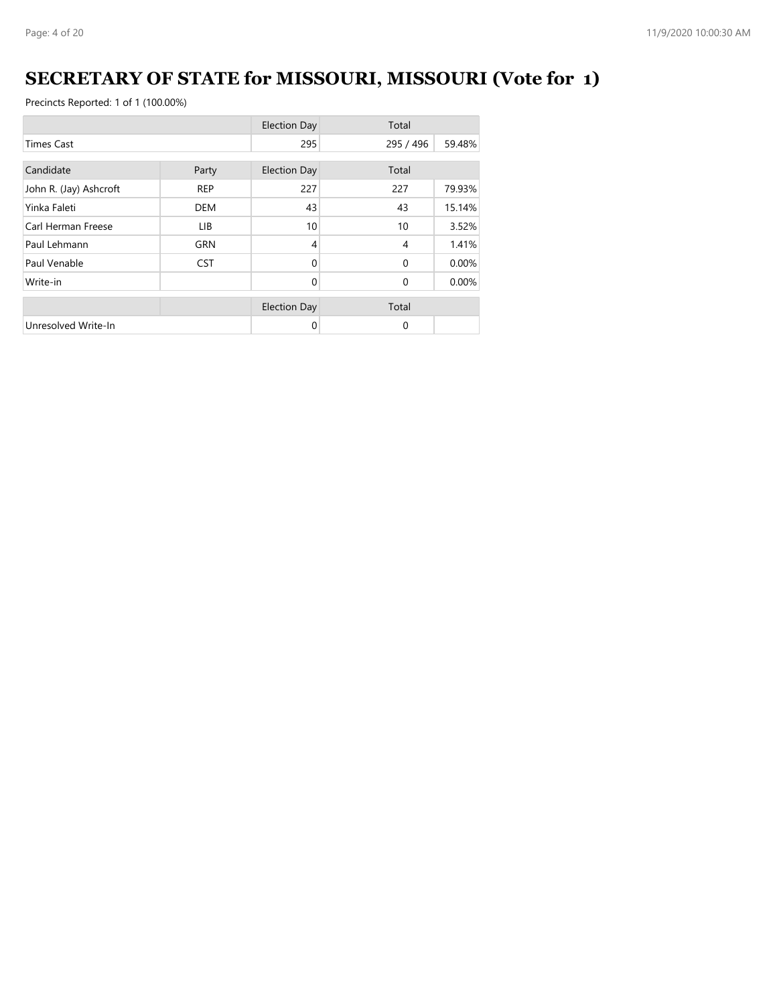# **SECRETARY OF STATE for MISSOURI, MISSOURI (Vote for 1)**

|                        |            | <b>Election Day</b> | Total          |        |
|------------------------|------------|---------------------|----------------|--------|
| <b>Times Cast</b>      |            | 295                 | 295 / 496      | 59.48% |
| Candidate              | Party      | <b>Election Day</b> | Total          |        |
| John R. (Jay) Ashcroft | <b>REP</b> | 227                 | 227            | 79.93% |
| Yinka Faleti           | <b>DEM</b> | 43                  | 43             | 15.14% |
| Carl Herman Freese     | LIB.       | 10                  | 10             | 3.52%  |
| Paul Lehmann           | <b>GRN</b> | 4                   | $\overline{4}$ | 1.41%  |
| Paul Venable           | <b>CST</b> | $\Omega$            | $\Omega$       | 0.00%  |
| Write-in               |            | $\Omega$            | $\Omega$       | 0.00%  |
|                        |            | <b>Election Day</b> | Total          |        |
| Unresolved Write-In    |            | 0                   | 0              |        |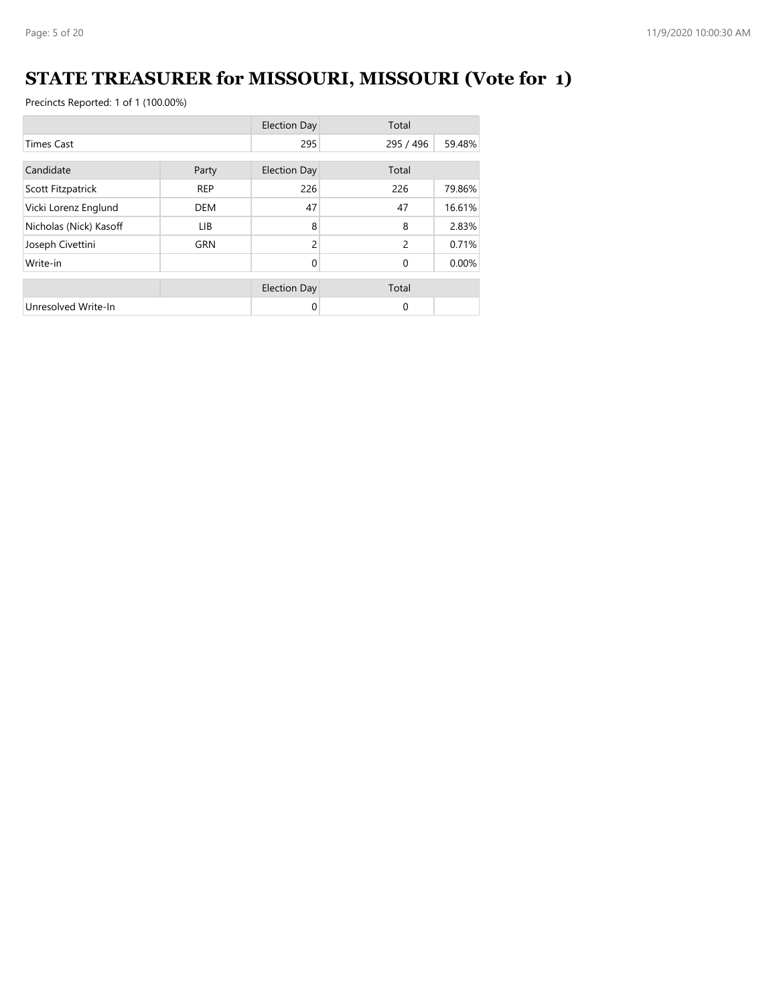# **STATE TREASURER for MISSOURI, MISSOURI (Vote for 1)**

|                        |            | <b>Election Day</b> | Total         |        |
|------------------------|------------|---------------------|---------------|--------|
| <b>Times Cast</b>      |            | 295                 | 295 / 496     | 59.48% |
| Candidate<br>Party     |            | <b>Election Day</b> | Total         |        |
| Scott Fitzpatrick      | <b>REP</b> | 226                 | 226           | 79.86% |
| Vicki Lorenz Englund   | <b>DEM</b> | 47                  | 47            | 16.61% |
| Nicholas (Nick) Kasoff | LIB.       | 8                   | 8             | 2.83%  |
| Joseph Civettini       | <b>GRN</b> | $\overline{c}$      | $\mathcal{P}$ | 0.71%  |
| Write-in               |            | $\Omega$            | $\Omega$      | 0.00%  |
|                        |            | <b>Election Day</b> | Total         |        |
| Unresolved Write-In    |            | 0                   | $\mathbf{0}$  |        |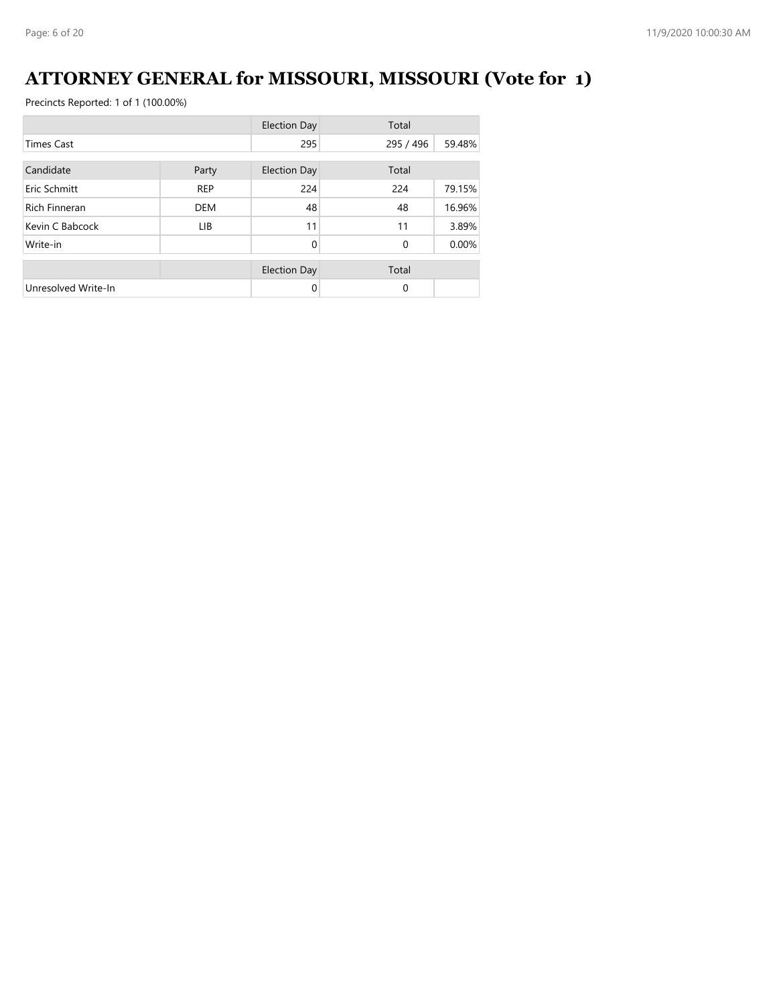# **ATTORNEY GENERAL for MISSOURI, MISSOURI (Vote for 1)**

|                      |            | <b>Election Day</b> | Total        |        |
|----------------------|------------|---------------------|--------------|--------|
| <b>Times Cast</b>    |            | 295                 | 295 / 496    | 59.48% |
| Candidate<br>Party   |            | <b>Election Day</b> | Total        |        |
| Eric Schmitt         | <b>REP</b> | 224                 | 224          | 79.15% |
| <b>Rich Finneran</b> | <b>DEM</b> | 48                  | 48           | 16.96% |
| Kevin C Babcock      | LIB.       | 11                  | 11           | 3.89%  |
| Write-in             |            | $\Omega$            | $\mathbf{0}$ | 0.00%  |
|                      |            | <b>Election Day</b> | Total        |        |
| Unresolved Write-In  |            | $\Omega$            | $\Omega$     |        |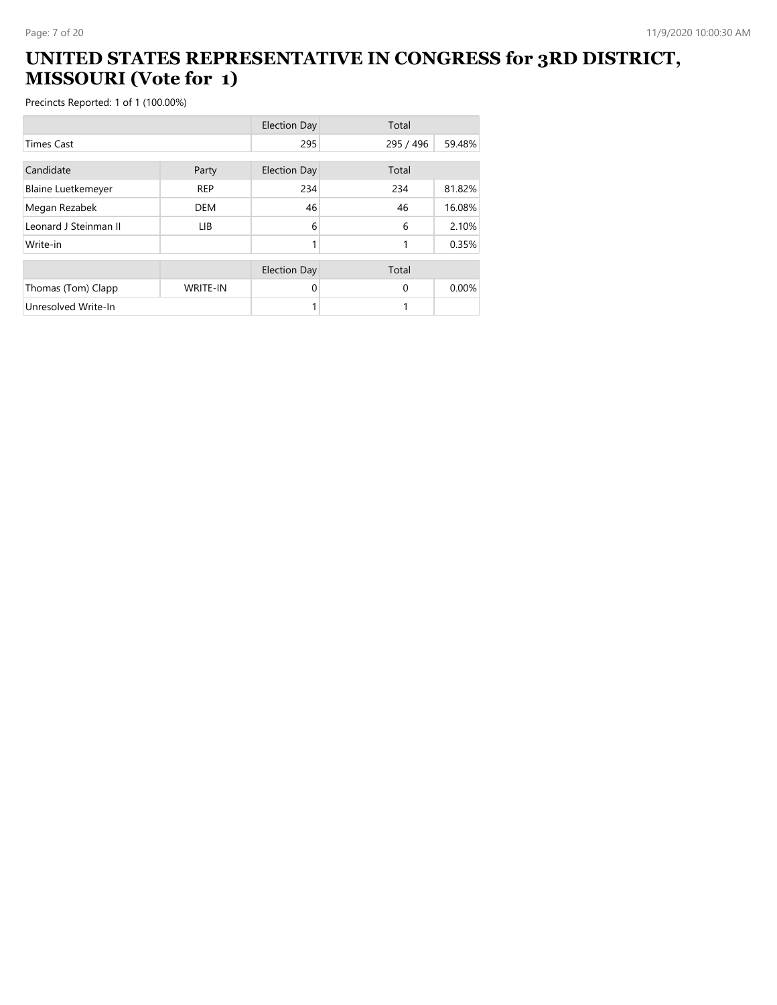#### **UNITED STATES REPRESENTATIVE IN CONGRESS for 3RD DISTRICT, MISSOURI (Vote for 1)**

|                           |                 | <b>Election Day</b> | Total     |        |
|---------------------------|-----------------|---------------------|-----------|--------|
| <b>Times Cast</b>         |                 | 295                 | 295 / 496 | 59.48% |
| Candidate                 | Party           | <b>Election Day</b> | Total     |        |
| <b>Blaine Luetkemeyer</b> | <b>REP</b>      | 234                 | 234       | 81.82% |
|                           |                 |                     |           |        |
| Megan Rezabek             | <b>DEM</b>      | 46                  | 46        | 16.08% |
| Leonard J Steinman II     | <b>LIB</b>      | 6                   | 6         | 2.10%  |
| Write-in                  |                 | 1                   | 1         | 0.35%  |
|                           |                 | <b>Election Day</b> | Total     |        |
| Thomas (Tom) Clapp        | <b>WRITE-IN</b> | 0                   | $\Omega$  | 0.00%  |
| Unresolved Write-In       |                 |                     |           |        |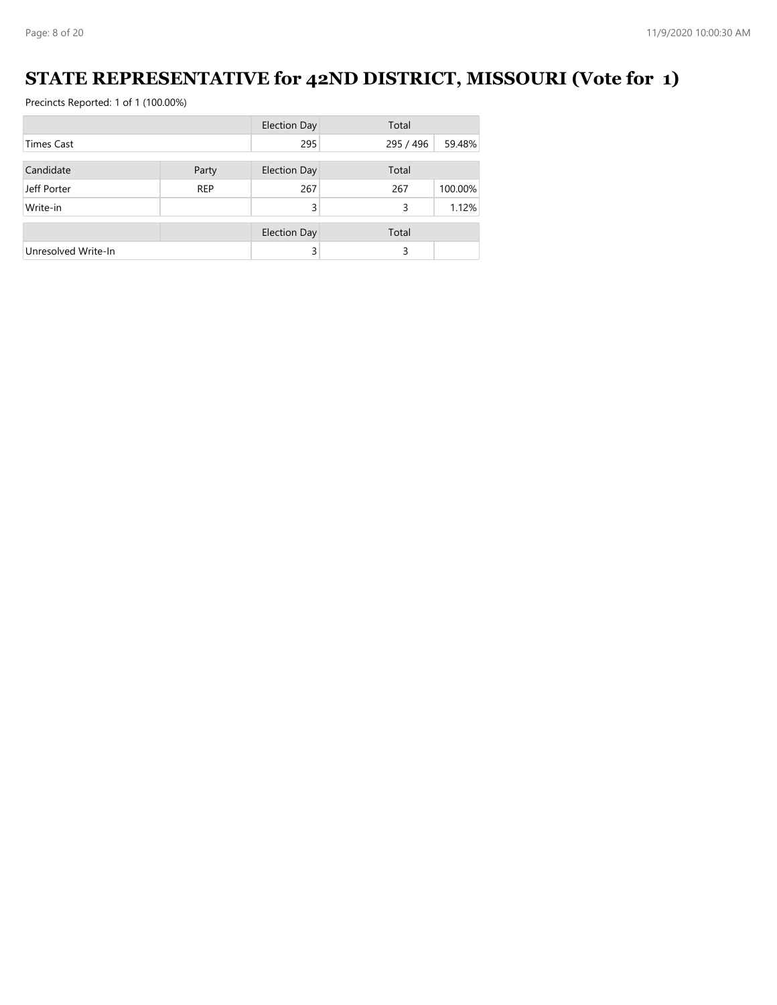#### **STATE REPRESENTATIVE for 42ND DISTRICT, MISSOURI (Vote for 1)**

|                     |            | <b>Election Day</b> | Total     |         |
|---------------------|------------|---------------------|-----------|---------|
| <b>Times Cast</b>   |            | 295                 | 295 / 496 | 59.48%  |
|                     |            |                     |           |         |
| Candidate           | Party      | <b>Election Day</b> | Total     |         |
| Jeff Porter         | <b>REP</b> | 267                 | 267       | 100.00% |
| Write-in            |            | 3                   | 3         | 1.12%   |
|                     |            | <b>Election Day</b> | Total     |         |
| Unresolved Write-In |            | 3                   | 3         |         |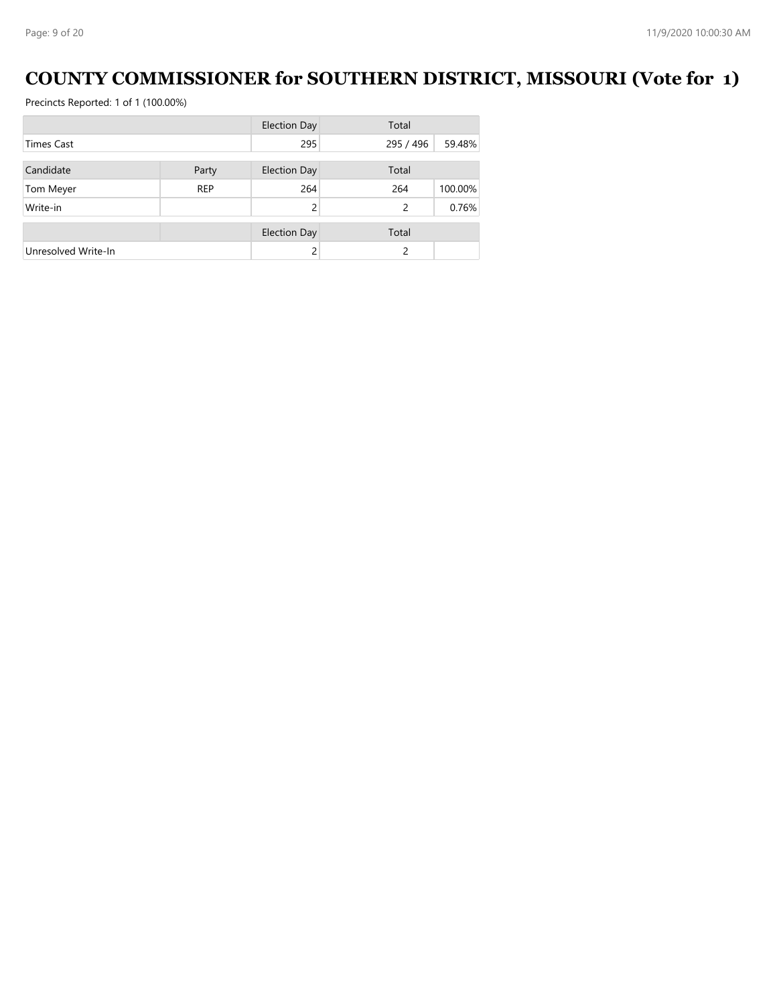#### **COUNTY COMMISSIONER for SOUTHERN DISTRICT, MISSOURI (Vote for 1)**

|                     |            | <b>Election Day</b> | Total         |         |
|---------------------|------------|---------------------|---------------|---------|
| <b>Times Cast</b>   |            | 295                 | 295 / 496     | 59.48%  |
|                     |            |                     |               |         |
| Candidate           | Party      | Election Day        | Total         |         |
| Tom Meyer           | <b>REP</b> | 264                 | 264           | 100.00% |
| Write-in            |            |                     | 2             | 0.76%   |
|                     |            |                     |               |         |
|                     |            | <b>Election Day</b> | Total         |         |
| Unresolved Write-In |            |                     | $\mathcal{P}$ |         |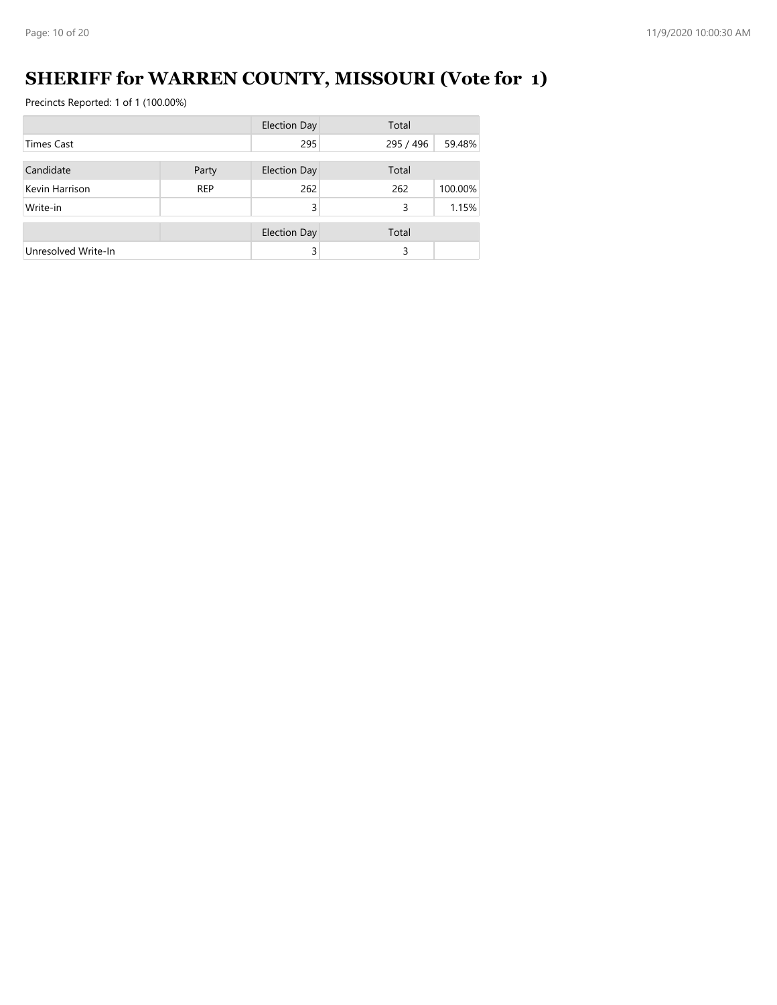# **SHERIFF for WARREN COUNTY, MISSOURI (Vote for 1)**

|                     |            | <b>Election Day</b> | Total     |         |
|---------------------|------------|---------------------|-----------|---------|
| Times Cast          |            | 295                 | 295 / 496 | 59.48%  |
| Candidate           |            | <b>Election Day</b> | Total     |         |
|                     | Party      |                     |           |         |
| Kevin Harrison      | <b>REP</b> | 262                 | 262       | 100.00% |
| Write-in            |            | 3                   | 3         | 1.15%   |
|                     |            | <b>Election Day</b> | Total     |         |
|                     |            |                     |           |         |
| Unresolved Write-In |            | 3                   | 3         |         |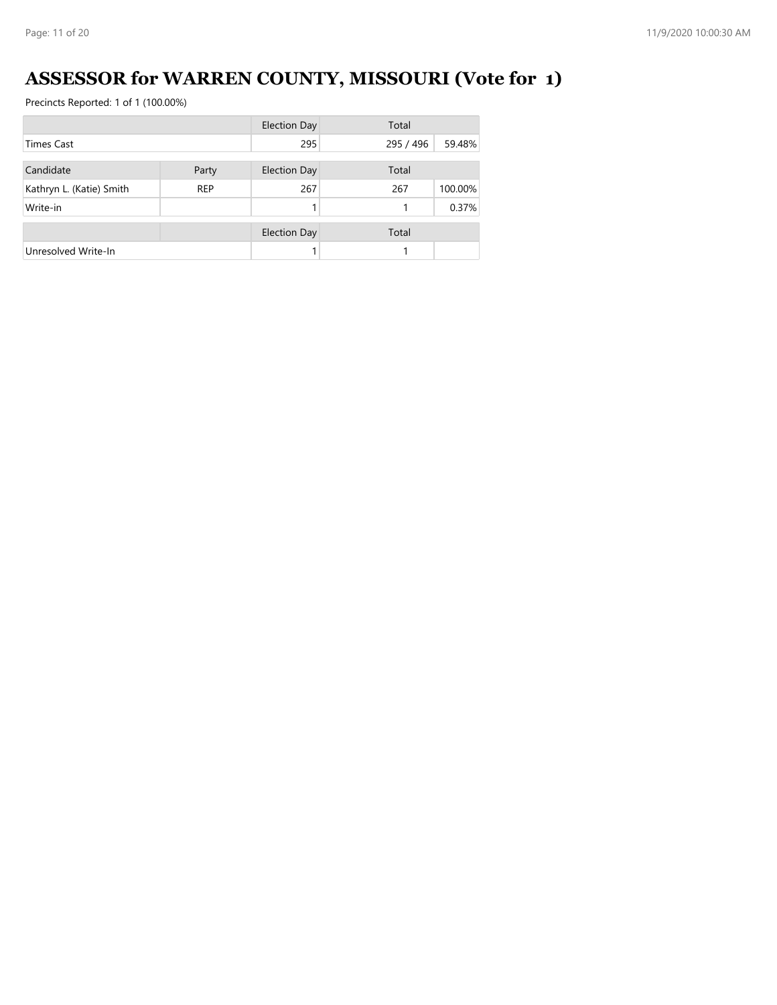# **ASSESSOR for WARREN COUNTY, MISSOURI (Vote for 1)**

|                          |            | <b>Election Day</b> | Total     |         |
|--------------------------|------------|---------------------|-----------|---------|
| <b>Times Cast</b>        |            | 295                 | 295 / 496 | 59.48%  |
|                          |            |                     |           |         |
| Candidate                | Party      | <b>Election Day</b> | Total     |         |
| Kathryn L. (Katie) Smith | <b>REP</b> | 267                 | 267       | 100.00% |
| Write-in                 |            |                     |           | 0.37%   |
|                          |            | <b>Election Day</b> | Total     |         |
| Unresolved Write-In      |            |                     |           |         |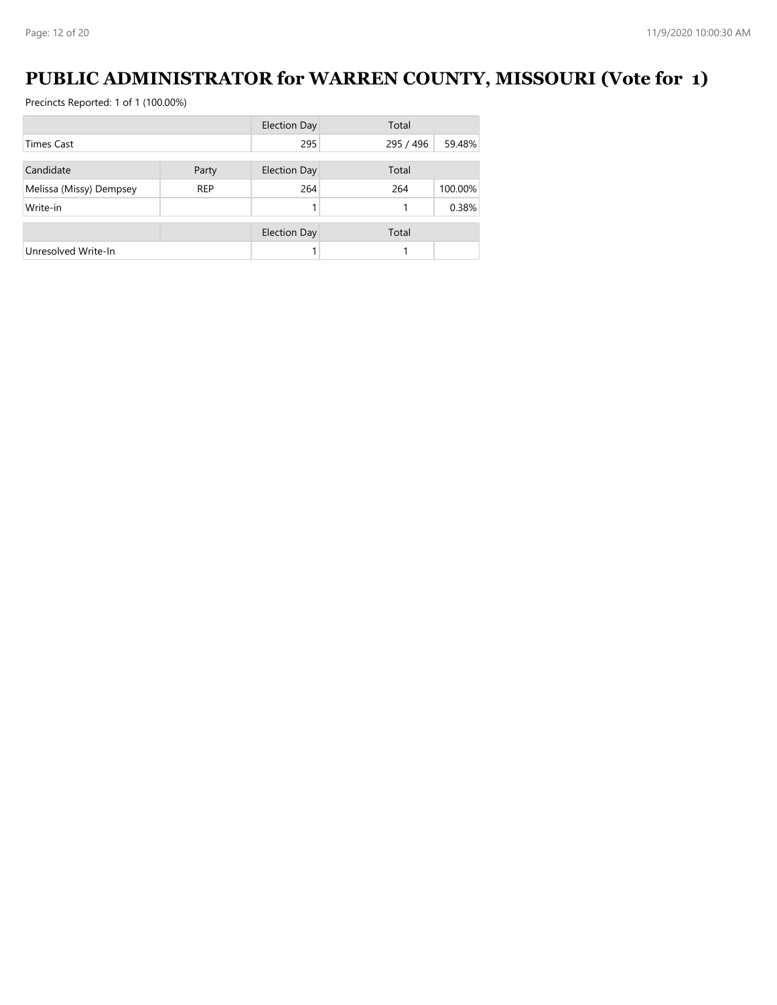#### **PUBLIC ADMINISTRATOR for WARREN COUNTY, MISSOURI (Vote for 1)**

|                         |            | <b>Election Day</b> | Total     |         |
|-------------------------|------------|---------------------|-----------|---------|
| <b>Times Cast</b>       |            | 295                 | 295 / 496 | 59.48%  |
|                         |            |                     |           |         |
| Candidate               | Party      | <b>Election Day</b> | Total     |         |
| Melissa (Missy) Dempsey | <b>REP</b> | 264                 | 264       | 100.00% |
| Write-in                |            |                     |           | 0.38%   |
|                         |            | <b>Election Day</b> | Total     |         |
| Unresolved Write-In     |            |                     |           |         |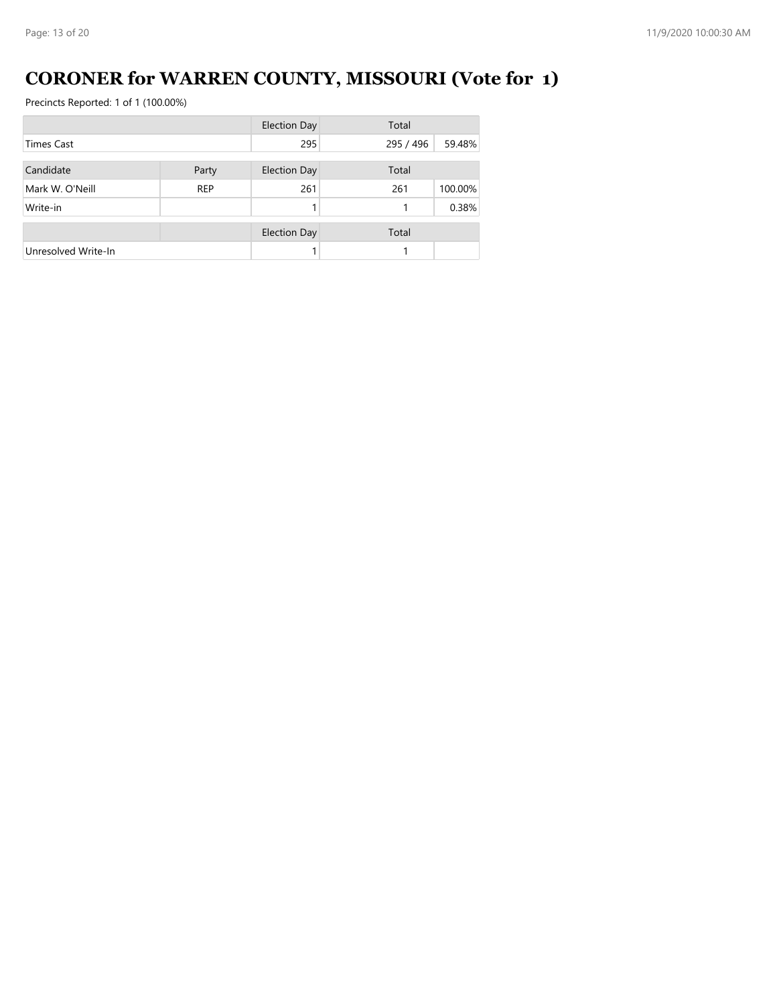# **CORONER for WARREN COUNTY, MISSOURI (Vote for 1)**

|                     |            | <b>Election Day</b> | Total     |         |
|---------------------|------------|---------------------|-----------|---------|
| Times Cast          |            | 295                 | 295 / 496 | 59.48%  |
| Candidate           | Party      | <b>Election Day</b> | Total     |         |
| Mark W. O'Neill     | <b>REP</b> | 261                 | 261       | 100.00% |
| Write-in            |            |                     |           | 0.38%   |
|                     |            | <b>Election Day</b> | Total     |         |
| Unresolved Write-In |            |                     |           |         |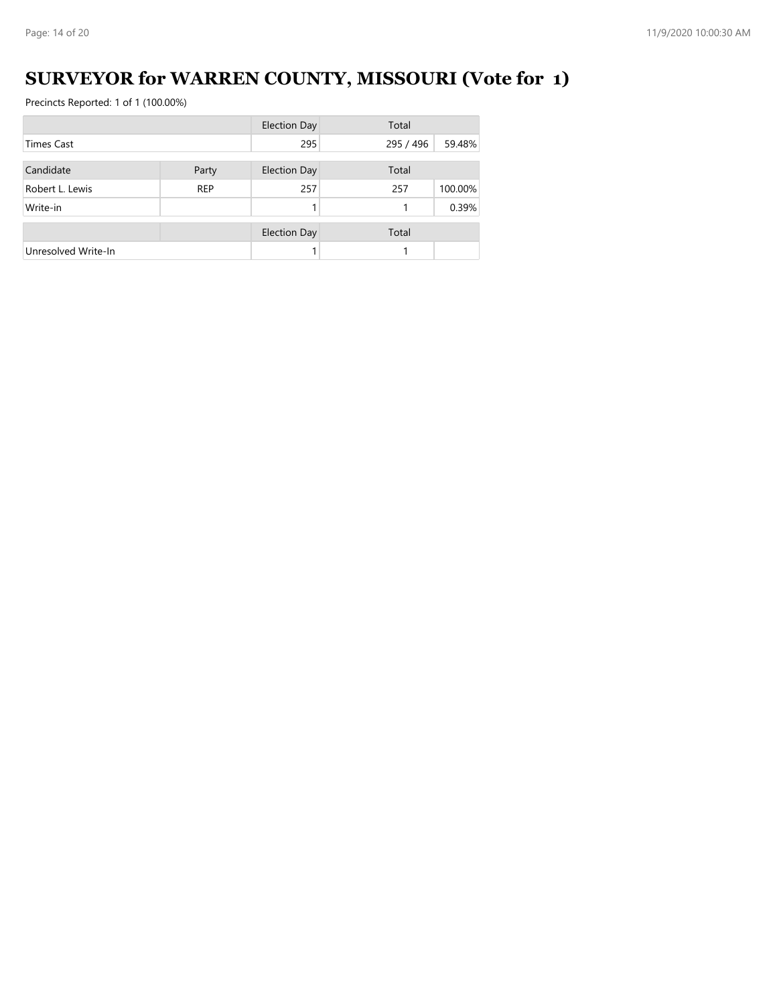# **SURVEYOR for WARREN COUNTY, MISSOURI (Vote for 1)**

|                     |            | <b>Election Day</b> | Total     |         |
|---------------------|------------|---------------------|-----------|---------|
| <b>Times Cast</b>   |            | 295                 | 295 / 496 | 59.48%  |
|                     |            |                     |           |         |
| Candidate           | Party      | <b>Election Day</b> | Total     |         |
| Robert L. Lewis     | <b>REP</b> | 257                 | 257       | 100.00% |
| Write-in            |            |                     |           | 0.39%   |
|                     |            | <b>Election Day</b> | Total     |         |
| Unresolved Write-In |            |                     |           |         |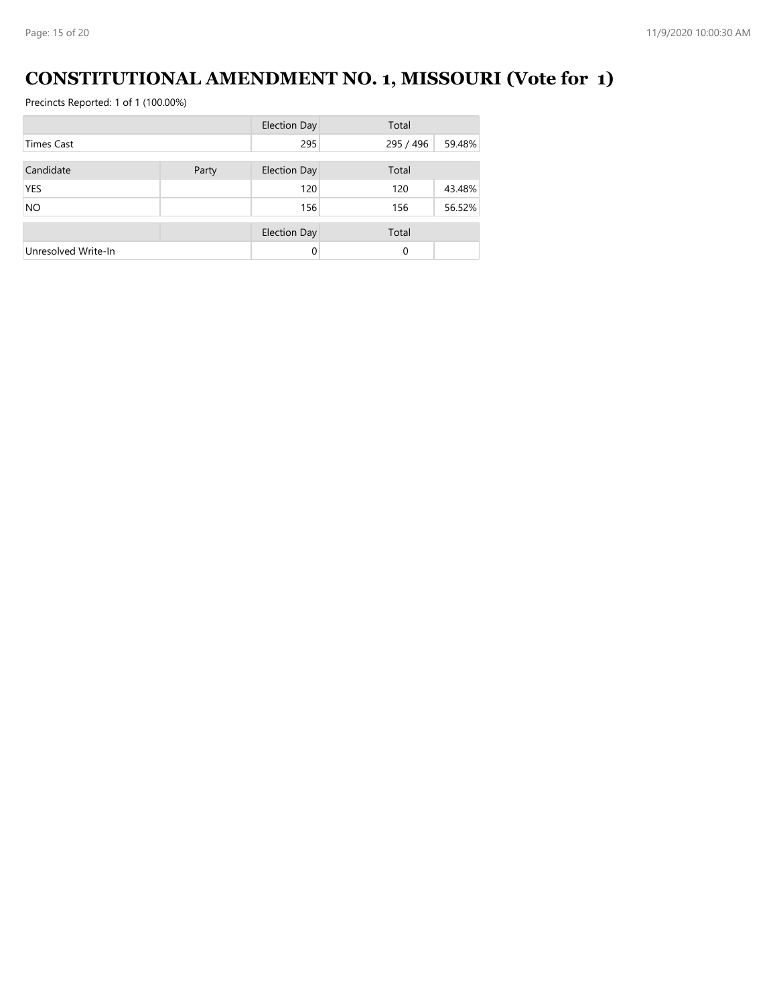# **CONSTITUTIONAL AMENDMENT NO. 1, MISSOURI (Vote for 1)**

|                     |       | <b>Election Day</b> | Total     |        |
|---------------------|-------|---------------------|-----------|--------|
| <b>Times Cast</b>   |       | 295                 | 295 / 496 | 59.48% |
| Candidate           | Party | <b>Election Day</b> | Total     |        |
| <b>YES</b>          |       | 120                 | 120       | 43.48% |
| <b>NO</b>           |       | 156                 | 156       | 56.52% |
|                     |       | <b>Election Day</b> | Total     |        |
| Unresolved Write-In |       | $\Omega$            | $\Omega$  |        |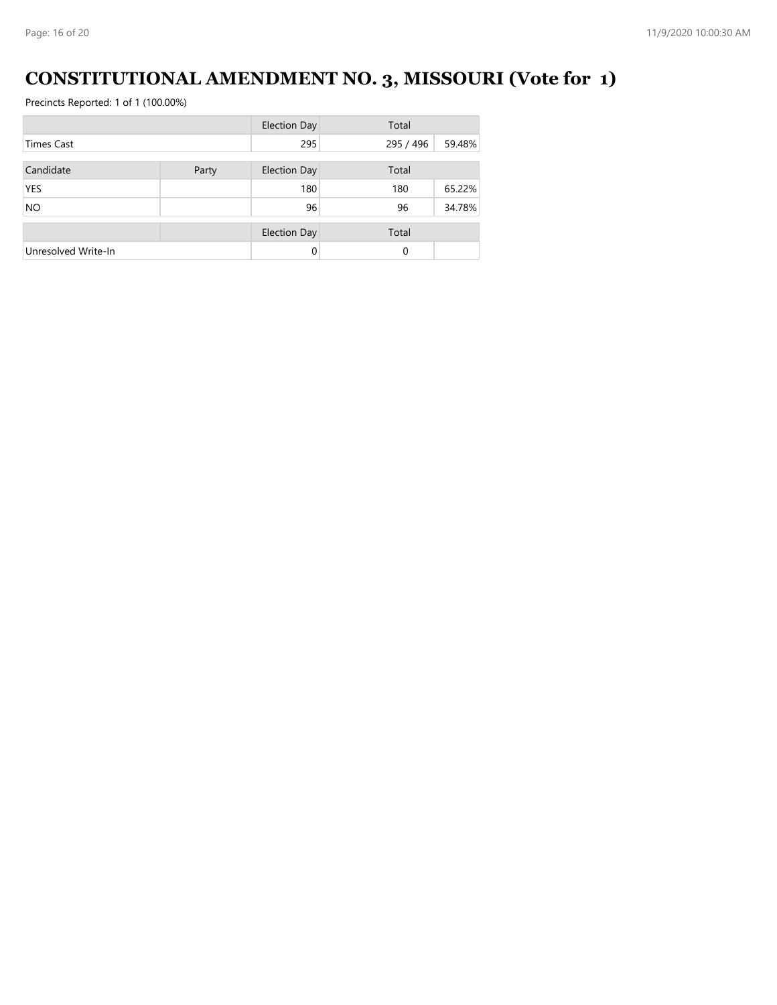# **CONSTITUTIONAL AMENDMENT NO. 3, MISSOURI (Vote for 1)**

|                     |       | <b>Election Day</b> | Total     |        |
|---------------------|-------|---------------------|-----------|--------|
| <b>Times Cast</b>   |       | 295                 | 295 / 496 | 59.48% |
|                     |       |                     |           |        |
| Candidate           | Party | <b>Election Day</b> | Total     |        |
| <b>YES</b>          |       | 180                 | 180       | 65.22% |
| <b>NO</b>           |       | 96                  | 96        | 34.78% |
|                     |       | <b>Election Day</b> | Total     |        |
| Unresolved Write-In |       | $\Omega$            | 0         |        |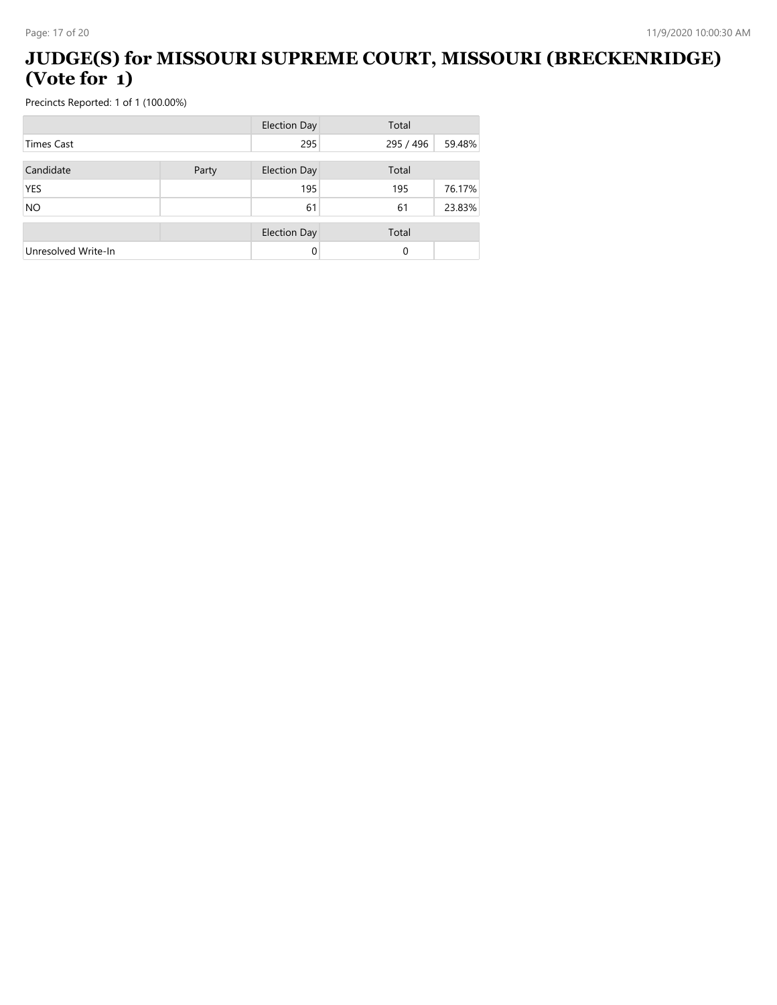#### **JUDGE(S) for MISSOURI SUPREME COURT, MISSOURI (BRECKENRIDGE) (Vote for 1)**

|                     |       | <b>Election Day</b> | Total     |        |
|---------------------|-------|---------------------|-----------|--------|
| <b>Times Cast</b>   |       | 295                 | 295 / 496 | 59.48% |
| Candidate           | Party | <b>Election Day</b> | Total     |        |
| <b>YES</b>          |       | 195                 | 195       | 76.17% |
| <b>NO</b>           |       | 61                  | 61        | 23.83% |
|                     |       | <b>Election Day</b> | Total     |        |
| Unresolved Write-In |       | 0                   | 0         |        |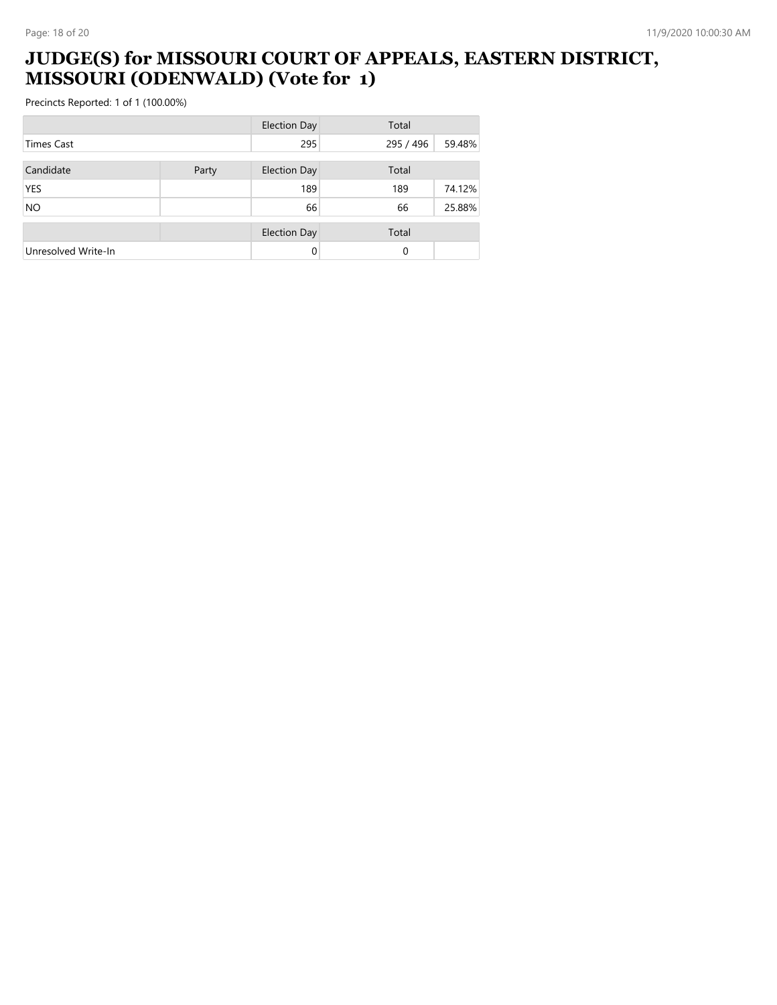#### **JUDGE(S) for MISSOURI COURT OF APPEALS, EASTERN DISTRICT, MISSOURI (ODENWALD) (Vote for 1)**

|                     |       | <b>Election Day</b> | Total     |        |
|---------------------|-------|---------------------|-----------|--------|
| <b>Times Cast</b>   |       | 295                 | 295 / 496 | 59.48% |
|                     |       |                     |           |        |
| Candidate           | Party | <b>Election Day</b> | Total     |        |
| <b>YES</b>          |       | 189                 | 189       | 74.12% |
| <b>NO</b>           |       | 66                  | 66        | 25.88% |
|                     |       |                     |           |        |
|                     |       | <b>Election Day</b> | Total     |        |
| Unresolved Write-In |       | 0                   | 0         |        |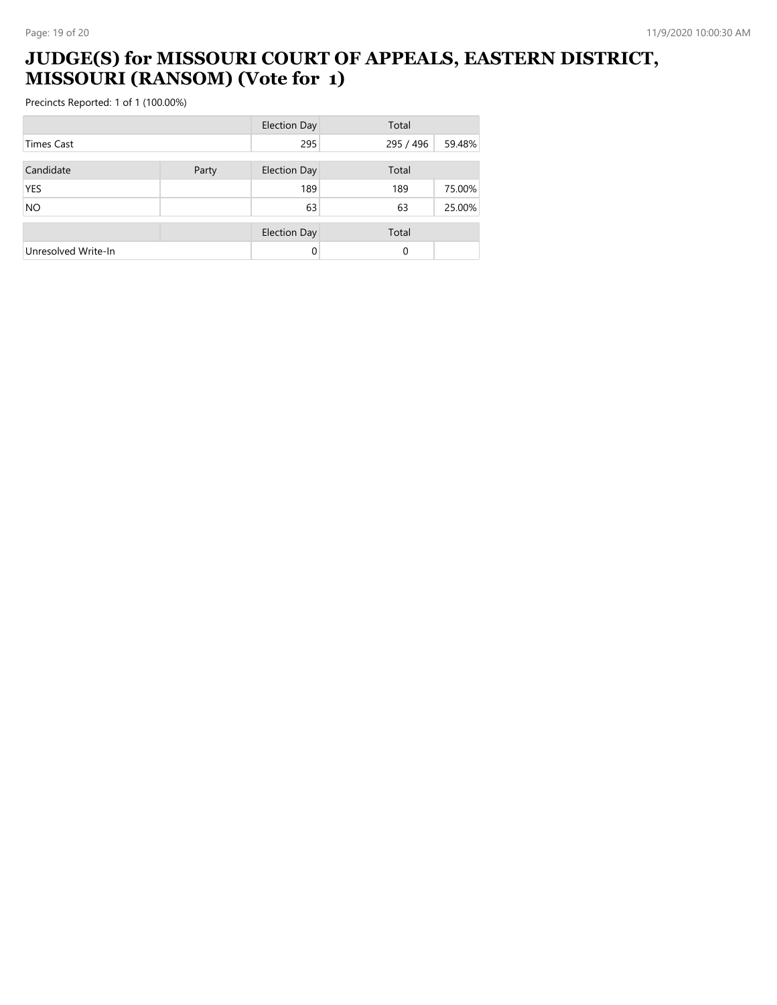#### **JUDGE(S) for MISSOURI COURT OF APPEALS, EASTERN DISTRICT, MISSOURI (RANSOM) (Vote for 1)**

|                     |       | <b>Election Day</b> | Total     |        |
|---------------------|-------|---------------------|-----------|--------|
| <b>Times Cast</b>   |       | 295                 | 295 / 496 | 59.48% |
| Candidate           | Party | <b>Election Day</b> | Total     |        |
| <b>YES</b>          |       | 189                 | 189       | 75.00% |
| <b>NO</b>           |       | 63                  | 63        | 25.00% |
|                     |       | <b>Election Day</b> | Total     |        |
| Unresolved Write-In |       | 0                   | 0         |        |